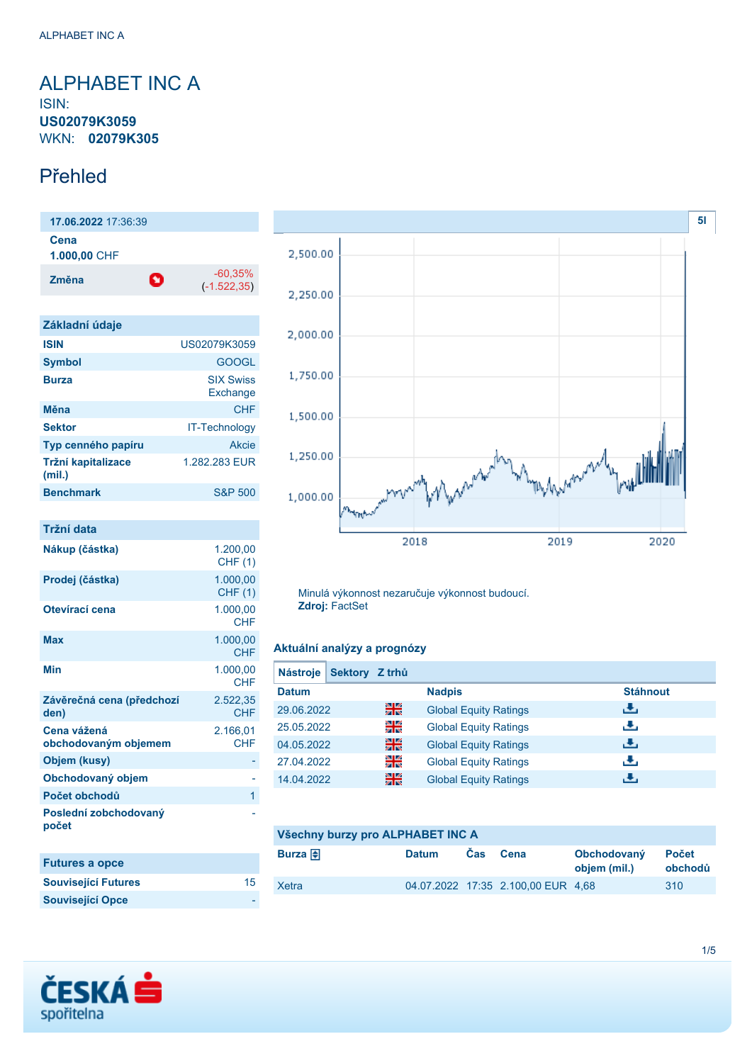## <span id="page-0-0"></span>ALPHABET INC A ISIN: **US02079K3059** WKN: **02079K305**

## Přehled

**17.06.2022** 17:36:39 **Cena 1.000,00** CHF **Změna** -60,35% (-1.522,35)

| Základní údaje               |                              |
|------------------------------|------------------------------|
| <b>ISIN</b>                  | US02079K3059                 |
| <b>Symbol</b>                | <b>GOOGL</b>                 |
| <b>Burza</b>                 | <b>SIX Swiss</b><br>Exchange |
| Měna                         | CHF                          |
| <b>Sektor</b>                | <b>IT-Technology</b>         |
| Typ cenného papíru           | Akcie                        |
| Tržní kapitalizace<br>(mil.) | 1.282.283 EUR                |
| <b>Benchmark</b>             | <b>S&amp;P 500</b>           |

| Tržní data                          |                            |
|-------------------------------------|----------------------------|
| Nákup (částka)                      | 1.200.00<br><b>CHF (1)</b> |
| Prodej (částka)                     | 1.000,00<br><b>CHF (1)</b> |
| Otevírací cena                      | 1.000,00<br><b>CHF</b>     |
| <b>Max</b>                          | 1.000,00<br><b>CHF</b>     |
| Min                                 | 1.000,00<br><b>CHF</b>     |
| Závěrečná cena (předchozí<br>den)   | 2.522,35<br><b>CHF</b>     |
| Cena vážená<br>obchodovaným objemem | 2.166,01<br><b>CHF</b>     |
| Objem (kusy)                        |                            |
| Obchodovaný objem                   |                            |
| Počet obchodů                       | 1                          |
| Poslední zobchodovaný<br>počet      |                            |
| <b>Futures a opce</b>               |                            |
| <b>Související Futures</b>          | 15                         |
| <b>Související Opce</b>             |                            |



Minulá výkonnost nezaručuje výkonnost budoucí. **Zdroj:** FactSet

### **Aktuální analýzy a prognózy**

| <b>Nástroje</b> | Sektory Z trhů |                              |                 |
|-----------------|----------------|------------------------------|-----------------|
| <b>Datum</b>    |                | <b>Nadpis</b>                | <b>Stáhnout</b> |
| 29.06.2022      | 꾊              | <b>Global Equity Ratings</b> | رنان            |
| 25.05.2022      | 읡              | <b>Global Equity Ratings</b> | رنان            |
| 04.05.2022      | 읡ć             | <b>Global Equity Ratings</b> | رالى            |
| 27.04.2022      | 꾉뚢             | <b>Global Equity Ratings</b> | æ,              |
| 14.04.2022      | 읢뗧             | <b>Global Equity Ratings</b> | رنان            |

| Všechny burzy pro ALPHABET INC A |              |      |                                    |                             |                         |
|----------------------------------|--------------|------|------------------------------------|-----------------------------|-------------------------|
| Burza $\bigoplus$                | <b>Datum</b> | Cas. | <b>Cena</b>                        | Obchodovaný<br>objem (mil.) | <b>Počet</b><br>obchodů |
| Xetra                            |              |      | 04.07.2022 17:35 2.100.00 EUR 4.68 |                             | 310                     |

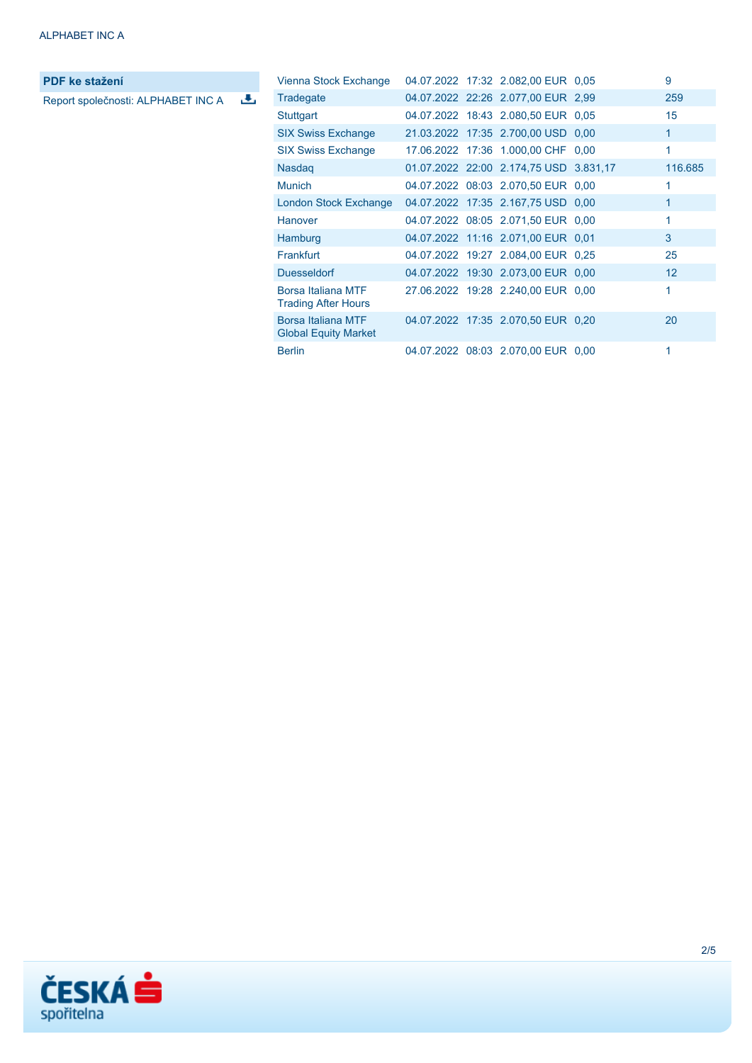**PDF ke stažení**

Report společnosti: ALPHABET INC A

| Vienna Stock Exchange                             |  | 04.07.2022 17:32 2.082,00 EUR 0,05     | 9            |
|---------------------------------------------------|--|----------------------------------------|--------------|
| Tradegate                                         |  | 04.07.2022 22:26 2.077,00 EUR 2,99     | 259          |
| Stuttgart                                         |  | 04.07.2022 18:43 2.080,50 EUR 0.05     | 15           |
| <b>SIX Swiss Exchange</b>                         |  | 21.03.2022 17:35 2.700,00 USD 0,00     | $\mathbf{1}$ |
| <b>SIX Swiss Exchange</b>                         |  | 17.06.2022 17:36 1.000,00 CHF 0,00     | 1            |
| <b>Nasdag</b>                                     |  | 01.07.2022 22:00 2.174,75 USD 3.831,17 | 116.685      |
| <b>Munich</b>                                     |  | 04.07.2022 08:03 2.070,50 EUR 0,00     | 1            |
| London Stock Exchange                             |  | 04.07.2022 17:35 2.167,75 USD 0,00     | 1            |
| Hanover                                           |  | 04.07.2022 08:05 2.071,50 EUR 0,00     | 1            |
| Hamburg                                           |  | 04.07.2022 11:16 2.071,00 EUR 0.01     | 3            |
| Frankfurt                                         |  | 04.07.2022 19:27 2.084,00 EUR 0,25     | 25           |
| <b>Duesseldorf</b>                                |  | 04.07.2022 19:30 2.073,00 EUR 0,00     | 12           |
| Borsa Italiana MTF<br><b>Trading After Hours</b>  |  | 27.06.2022 19:28 2.240,00 EUR 0,00     | 1            |
| Borsa Italiana MTF<br><b>Global Equity Market</b> |  | 04.07.2022 17:35 2.070,50 EUR 0,20     | 20           |
| <b>Berlin</b>                                     |  | 04.07.2022 08:03 2.070,00 EUR 0,00     | 1            |

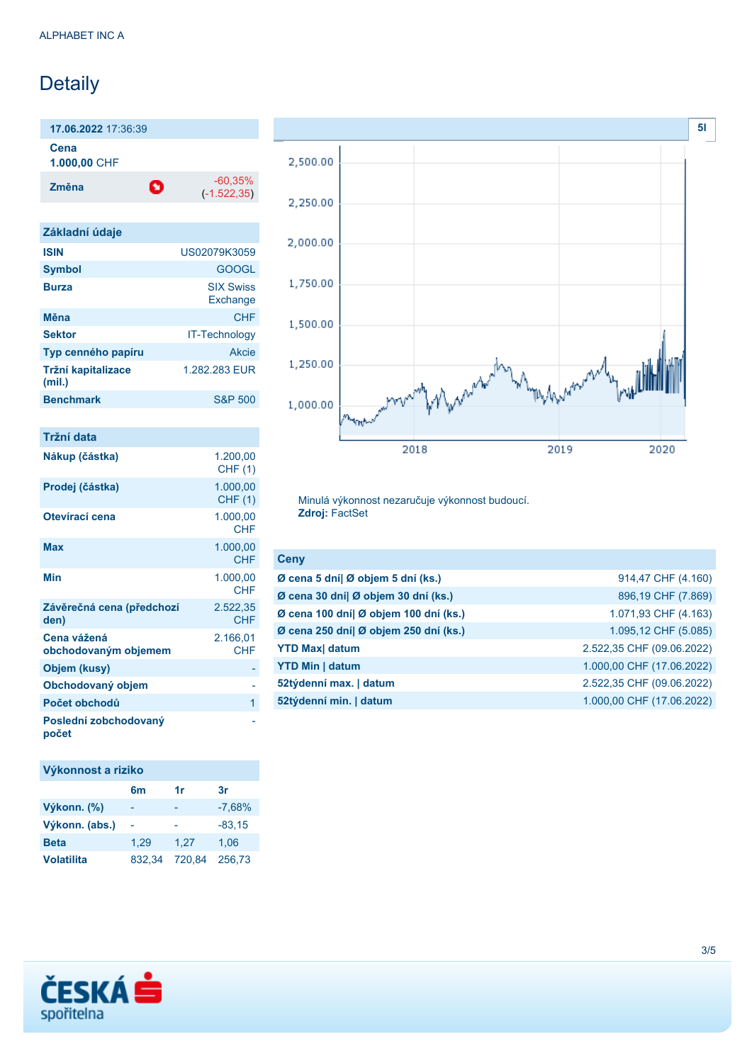## Detaily

**17.06.2022** 17:36:39 **Cena**

**1.000,00** CHF

**Změna** -60,35% -60,35%

(-1.522,35)

| Základní údaje               |                              |
|------------------------------|------------------------------|
| <b>ISIN</b>                  | US02079K3059                 |
| <b>Symbol</b>                | <b>GOOGL</b>                 |
| <b>Burza</b>                 | <b>SIX Swiss</b><br>Exchange |
| Měna                         | CHF                          |
| <b>Sektor</b>                | <b>IT-Technology</b>         |
| Typ cenného papíru           | Akcie                        |
| Tržní kapitalizace<br>(mil.) | 1.282.283 FUR                |
| <b>Benchmark</b>             | S&P 500                      |

| Tržní data                          |                            |
|-------------------------------------|----------------------------|
| Nákup (částka)                      | 1.200,00<br><b>CHF (1)</b> |
| Prodej (částka)                     | 1.000,00<br><b>CHF (1)</b> |
| Otevírací cena                      | 1.000,00<br><b>CHF</b>     |
| Max                                 | 1.000,00<br><b>CHF</b>     |
| Min                                 | 1.000,00<br><b>CHF</b>     |
| Závěrečná cena (předchozí<br>den)   | 2.522,35<br>CHF            |
| Cena vážená<br>obchodovaným objemem | 2.166,01<br><b>CHF</b>     |
| Objem (kusy)                        |                            |
| Obchodovaný objem                   |                            |
| Počet obchodů                       | 1                          |
| Poslední zobchodovaný<br>počet      |                            |

## **Výkonnost a riziko**

|                   | 6m     | 1r     | 3r       |
|-------------------|--------|--------|----------|
| Výkonn. (%)       |        |        | $-7,68%$ |
| Výkonn. (abs.)    |        |        | $-83,15$ |
| <b>Beta</b>       | 1.29   | 1.27   | 1.06     |
| <b>Volatilita</b> | 832.34 | 720.84 | 256.73   |



Minulá výkonnost nezaručuje výkonnost budoucí. **Zdroj:** FactSet

| Ceny                                  |                           |
|---------------------------------------|---------------------------|
| Ø cena 5 dní  Ø objem 5 dní (ks.)     | 914,47 CHF (4.160)        |
| Ø cena 30 dní  Ø objem 30 dní (ks.)   | 896,19 CHF (7.869)        |
| Ø cena 100 dní  Ø objem 100 dní (ks.) | 1.071,93 CHF (4.163)      |
| Ø cena 250 dní  Ø objem 250 dní (ks.) | 1.095,12 CHF (5.085)      |
| <b>YTD Max</b> datum                  | 2.522,35 CHF (09.06.2022) |
| <b>YTD Min   datum</b>                | 1.000,00 CHF (17.06.2022) |
| 52týdenní max.   datum                | 2.522,35 CHF (09.06.2022) |
| 52týdenní min.   datum                | 1.000,00 CHF (17.06.2022) |

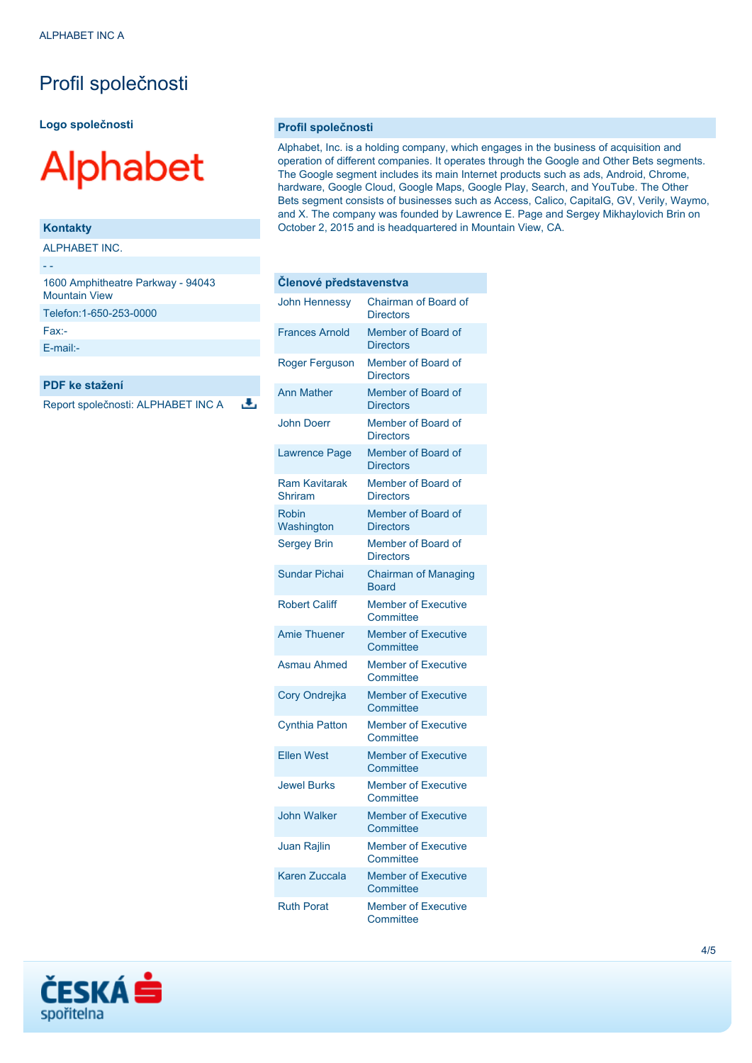## Profil společnosti

**Logo společnosti**

# **Alphabet**

#### **Kontakty**

- -

ALPHABET INC.

| 1600 Amphitheatre Parkway - 94043<br><b>Mountain View</b> |
|-----------------------------------------------------------|
| Telefon: 1-650-253-0000                                   |
| $Fax -$                                                   |
| $F$ -mail:-                                               |
|                                                           |

#### **PDF ke stažení**

Report společnosti: ALPHABET INC A

违

#### **Profil společnosti**

Alphabet, Inc. is a holding company, which engages in the business of acquisition and operation of different companies. It operates through the Google and Other Bets segments. The Google segment includes its main Internet products such as ads, Android, Chrome, hardware, Google Cloud, Google Maps, Google Play, Search, and YouTube. The Other Bets segment consists of businesses such as Access, Calico, CapitalG, GV, Verily, Waymo, and X. The company was founded by Lawrence E. Page and Sergey Mikhaylovich Brin on October 2, 2015 and is headquartered in Mountain View, CA.

| Členové představenstva          |                                             |  |
|---------------------------------|---------------------------------------------|--|
| <b>John Hennessy</b>            | Chairman of Board of<br><b>Directors</b>    |  |
| <b>Frances Arnold</b>           | Member of Board of<br><b>Directors</b>      |  |
| Roger Ferguson                  | Member of Board of<br><b>Directors</b>      |  |
| <b>Ann Mather</b>               | Member of Board of<br><b>Directors</b>      |  |
| <b>John Doerr</b>               | Member of Board of<br><b>Directors</b>      |  |
| <b>Lawrence Page</b>            | Member of Board of<br><b>Directors</b>      |  |
| <b>Ram Kavitarak</b><br>Shriram | Member of Board of<br><b>Directors</b>      |  |
| <b>Robin</b><br>Washington      | Member of Board of<br><b>Directors</b>      |  |
| <b>Sergey Brin</b>              | Member of Board of<br><b>Directors</b>      |  |
| Sundar Pichai                   | <b>Chairman of Managing</b><br><b>Board</b> |  |
| <b>Robert Califf</b>            | <b>Member of Executive</b><br>Committee     |  |
| <b>Amie Thuener</b>             | <b>Member of Executive</b><br>Committee     |  |
| <b>Asmau Ahmed</b>              | <b>Member of Executive</b><br>Committee     |  |
| Cory Ondrejka                   | <b>Member of Executive</b><br>Committee     |  |
| <b>Cynthia Patton</b>           | <b>Member of Executive</b><br>Committee     |  |
| <b>Ellen West</b>               | <b>Member of Executive</b><br>Committee     |  |
| <b>Jewel Burks</b>              | <b>Member of Executive</b><br>Committee     |  |
| <b>John Walker</b>              | <b>Member of Executive</b><br>Committee     |  |
| Juan Rajlin                     | <b>Member of Executive</b><br>Committee     |  |
| <b>Karen Zuccala</b>            | <b>Member of Executive</b><br>Committee     |  |
| <b>Ruth Porat</b>               | <b>Member of Executive</b><br>Committee     |  |